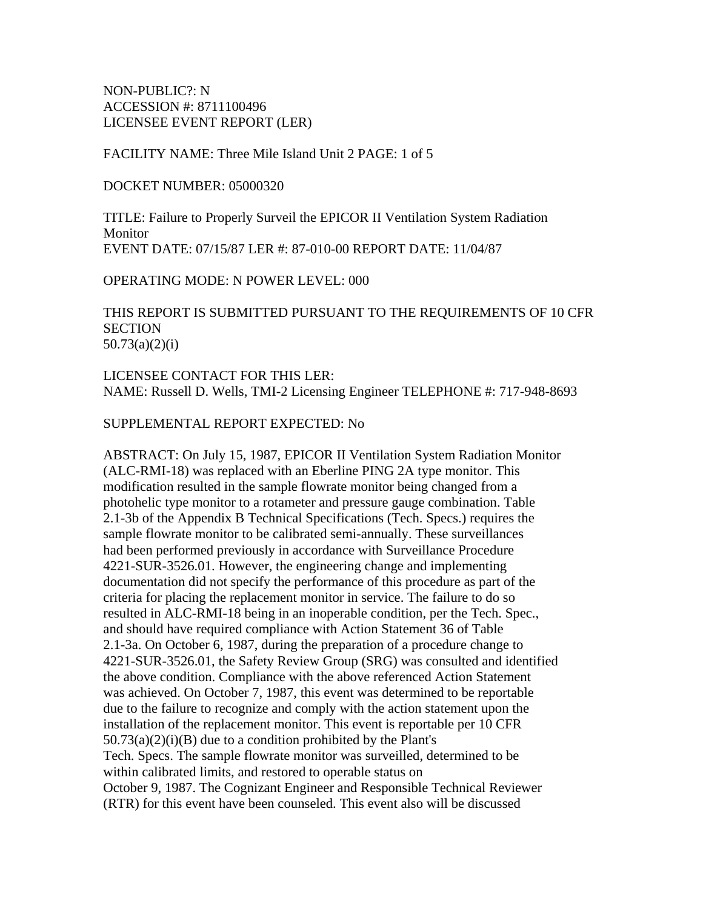NON-PUBLIC?: N ACCESSION #: 8711100496 LICENSEE EVENT REPORT (LER)

FACILITY NAME: Three Mile Island Unit 2 PAGE: 1 of 5

DOCKET NUMBER: 05000320

TITLE: Failure to Properly Surveil the EPICOR II Ventilation System Radiation Monitor EVENT DATE: 07/15/87 LER #: 87-010-00 REPORT DATE: 11/04/87

OPERATING MODE: N POWER LEVEL: 000

THIS REPORT IS SUBMITTED PURSUANT TO THE REQUIREMENTS OF 10 CFR **SECTION** 50.73(a)(2)(i)

LICENSEE CONTACT FOR THIS LER: NAME: Russell D. Wells, TMI-2 Licensing Engineer TELEPHONE #: 717-948-8693

SUPPLEMENTAL REPORT EXPECTED: No

ABSTRACT: On July 15, 1987, EPICOR II Ventilation System Radiation Monitor (ALC-RMI-18) was replaced with an Eberline PING 2A type monitor. This modification resulted in the sample flowrate monitor being changed from a photohelic type monitor to a rotameter and pressure gauge combination. Table 2.1-3b of the Appendix B Technical Specifications (Tech. Specs.) requires the sample flowrate monitor to be calibrated semi-annually. These surveillances had been performed previously in accordance with Surveillance Procedure 4221-SUR-3526.01. However, the engineering change and implementing documentation did not specify the performance of this procedure as part of the criteria for placing the replacement monitor in service. The failure to do so resulted in ALC-RMI-18 being in an inoperable condition, per the Tech. Spec., and should have required compliance with Action Statement 36 of Table 2.1-3a. On October 6, 1987, during the preparation of a procedure change to 4221-SUR-3526.01, the Safety Review Group (SRG) was consulted and identified the above condition. Compliance with the above referenced Action Statement was achieved. On October 7, 1987, this event was determined to be reportable due to the failure to recognize and comply with the action statement upon the installation of the replacement monitor. This event is reportable per 10 CFR  $50.73(a)(2)(i)(B)$  due to a condition prohibited by the Plant's Tech. Specs. The sample flowrate monitor was surveilled, determined to be within calibrated limits, and restored to operable status on October 9, 1987. The Cognizant Engineer and Responsible Technical Reviewer (RTR) for this event have been counseled. This event also will be discussed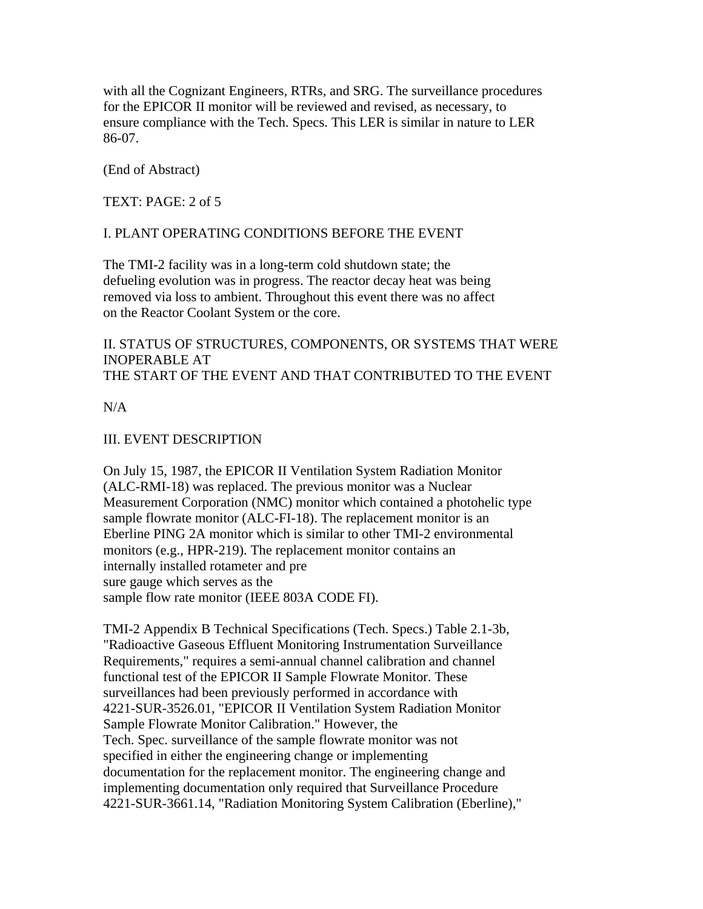with all the Cognizant Engineers, RTRs, and SRG. The surveillance procedures for the EPICOR II monitor will be reviewed and revised, as necessary, to ensure compliance with the Tech. Specs. This LER is similar in nature to LER 86-07.

(End of Abstract)

TEXT: PAGE: 2 of 5

## I. PLANT OPERATING CONDITIONS BEFORE THE EVENT

The TMI-2 facility was in a long-term cold shutdown state; the defueling evolution was in progress. The reactor decay heat was being removed via loss to ambient. Throughout this event there was no affect on the Reactor Coolant System or the core.

II. STATUS OF STRUCTURES, COMPONENTS, OR SYSTEMS THAT WERE INOPERABLE AT THE START OF THE EVENT AND THAT CONTRIBUTED TO THE EVENT

 $N/A$ 

## III. EVENT DESCRIPTION

On July 15, 1987, the EPICOR II Ventilation System Radiation Monitor (ALC-RMI-18) was replaced. The previous monitor was a Nuclear Measurement Corporation (NMC) monitor which contained a photohelic type sample flowrate monitor (ALC-FI-18). The replacement monitor is an Eberline PING 2A monitor which is similar to other TMI-2 environmental monitors (e.g., HPR-219). The replacement monitor contains an internally installed rotameter and pre sure gauge which serves as the sample flow rate monitor (IEEE 803A CODE FI).

TMI-2 Appendix B Technical Specifications (Tech. Specs.) Table 2.1-3b, "Radioactive Gaseous Effluent Monitoring Instrumentation Surveillance Requirements," requires a semi-annual channel calibration and channel functional test of the EPICOR II Sample Flowrate Monitor. These surveillances had been previously performed in accordance with 4221-SUR-3526.01, "EPICOR II Ventilation System Radiation Monitor Sample Flowrate Monitor Calibration." However, the Tech. Spec. surveillance of the sample flowrate monitor was not specified in either the engineering change or implementing documentation for the replacement monitor. The engineering change and implementing documentation only required that Surveillance Procedure 4221-SUR-3661.14, "Radiation Monitoring System Calibration (Eberline),"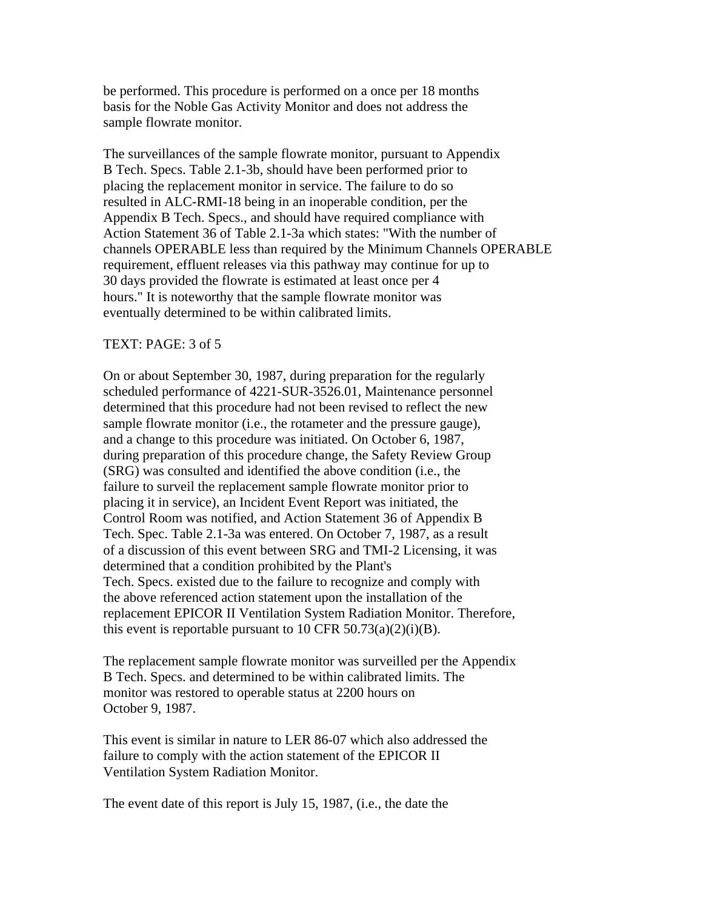be performed. This procedure is performed on a once per 18 months basis for the Noble Gas Activity Monitor and does not address the sample flowrate monitor.

The surveillances of the sample flowrate monitor, pursuant to Appendix B Tech. Specs. Table 2.1-3b, should have been performed prior to placing the replacement monitor in service. The failure to do so resulted in ALC-RMI-18 being in an inoperable condition, per the Appendix B Tech. Specs., and should have required compliance with Action Statement 36 of Table 2.1-3a which states: "With the number of channels OPERABLE less than required by the Minimum Channels OPERABLE requirement, effluent releases via this pathway may continue for up to 30 days provided the flowrate is estimated at least once per 4 hours." It is noteworthy that the sample flowrate monitor was eventually determined to be within calibrated limits.

#### TEXT: PAGE: 3 of 5

On or about September 30, 1987, during preparation for the regularly scheduled performance of 4221-SUR-3526.01, Maintenance personnel determined that this procedure had not been revised to reflect the new sample flowrate monitor (i.e., the rotameter and the pressure gauge), and a change to this procedure was initiated. On October 6, 1987, during preparation of this procedure change, the Safety Review Group (SRG) was consulted and identified the above condition (i.e., the failure to surveil the replacement sample flowrate monitor prior to placing it in service), an Incident Event Report was initiated, the Control Room was notified, and Action Statement 36 of Appendix B Tech. Spec. Table 2.1-3a was entered. On October 7, 1987, as a result of a discussion of this event between SRG and TMI-2 Licensing, it was determined that a condition prohibited by the Plant's Tech. Specs. existed due to the failure to recognize and comply with the above referenced action statement upon the installation of the replacement EPICOR II Ventilation System Radiation Monitor. Therefore, this event is reportable pursuant to 10 CFR  $50.73(a)(2)(i)(B)$ .

The replacement sample flowrate monitor was surveilled per the Appendix B Tech. Specs. and determined to be within calibrated limits. The monitor was restored to operable status at 2200 hours on October 9, 1987.

This event is similar in nature to LER 86-07 which also addressed the failure to comply with the action statement of the EPICOR II Ventilation System Radiation Monitor.

The event date of this report is July 15, 1987, (i.e., the date the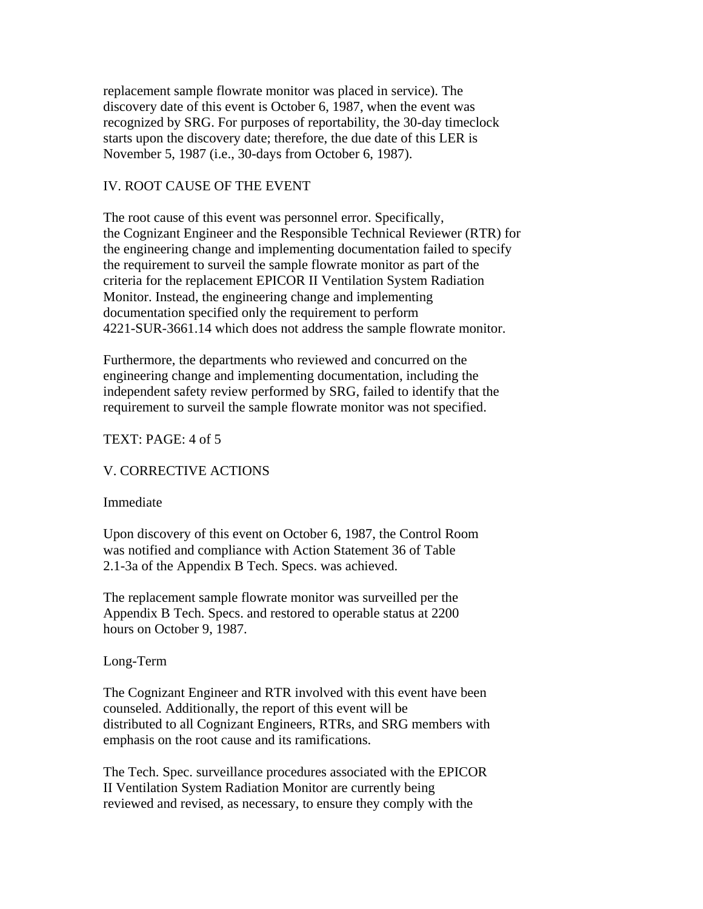replacement sample flowrate monitor was placed in service). The discovery date of this event is October 6, 1987, when the event was recognized by SRG. For purposes of reportability, the 30-day timeclock starts upon the discovery date; therefore, the due date of this LER is November 5, 1987 (i.e., 30-days from October 6, 1987).

## IV. ROOT CAUSE OF THE EVENT

The root cause of this event was personnel error. Specifically, the Cognizant Engineer and the Responsible Technical Reviewer (RTR) for the engineering change and implementing documentation failed to specify the requirement to surveil the sample flowrate monitor as part of the criteria for the replacement EPICOR II Ventilation System Radiation Monitor. Instead, the engineering change and implementing documentation specified only the requirement to perform 4221-SUR-3661.14 which does not address the sample flowrate monitor.

Furthermore, the departments who reviewed and concurred on the engineering change and implementing documentation, including the independent safety review performed by SRG, failed to identify that the requirement to surveil the sample flowrate monitor was not specified.

## TEXT: PAGE: 4 of 5

## V. CORRECTIVE ACTIONS

#### Immediate

Upon discovery of this event on October 6, 1987, the Control Room was notified and compliance with Action Statement 36 of Table 2.1-3a of the Appendix B Tech. Specs. was achieved.

The replacement sample flowrate monitor was surveilled per the Appendix B Tech. Specs. and restored to operable status at 2200 hours on October 9, 1987.

#### Long-Term

The Cognizant Engineer and RTR involved with this event have been counseled. Additionally, the report of this event will be distributed to all Cognizant Engineers, RTRs, and SRG members with emphasis on the root cause and its ramifications.

The Tech. Spec. surveillance procedures associated with the EPICOR II Ventilation System Radiation Monitor are currently being reviewed and revised, as necessary, to ensure they comply with the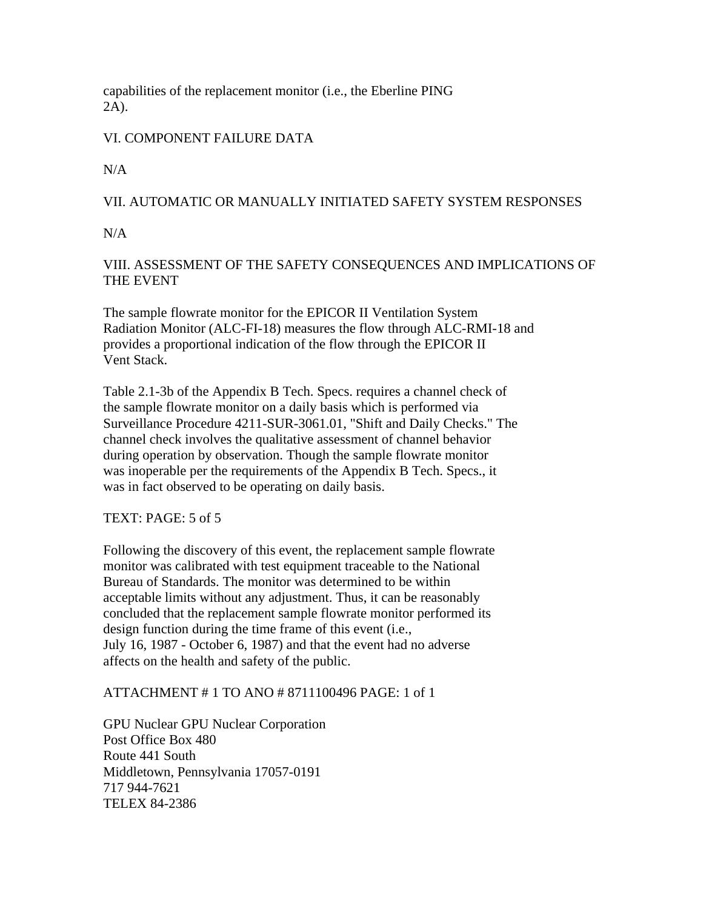capabilities of the replacement monitor (i.e., the Eberline PING 2A).

# VI. COMPONENT FAILURE DATA

 $N/A$ 

# VII. AUTOMATIC OR MANUALLY INITIATED SAFETY SYSTEM RESPONSES

 $N/A$ 

VIII. ASSESSMENT OF THE SAFETY CONSEQUENCES AND IMPLICATIONS OF THE EVENT

The sample flowrate monitor for the EPICOR II Ventilation System Radiation Monitor (ALC-FI-18) measures the flow through ALC-RMI-18 and provides a proportional indication of the flow through the EPICOR II Vent Stack.

Table 2.1-3b of the Appendix B Tech. Specs. requires a channel check of the sample flowrate monitor on a daily basis which is performed via Surveillance Procedure 4211-SUR-3061.01, "Shift and Daily Checks." The channel check involves the qualitative assessment of channel behavior during operation by observation. Though the sample flowrate monitor was inoperable per the requirements of the Appendix B Tech. Specs., it was in fact observed to be operating on daily basis.

TEXT: PAGE: 5 of 5

Following the discovery of this event, the replacement sample flowrate monitor was calibrated with test equipment traceable to the National Bureau of Standards. The monitor was determined to be within acceptable limits without any adjustment. Thus, it can be reasonably concluded that the replacement sample flowrate monitor performed its design function during the time frame of this event (i.e., July 16, 1987 - October 6, 1987) and that the event had no adverse affects on the health and safety of the public.

## ATTACHMENT # 1 TO ANO # 8711100496 PAGE: 1 of 1

GPU Nuclear GPU Nuclear Corporation Post Office Box 480 Route 441 South Middletown, Pennsylvania 17057-0191 717 944-7621 TELEX 84-2386